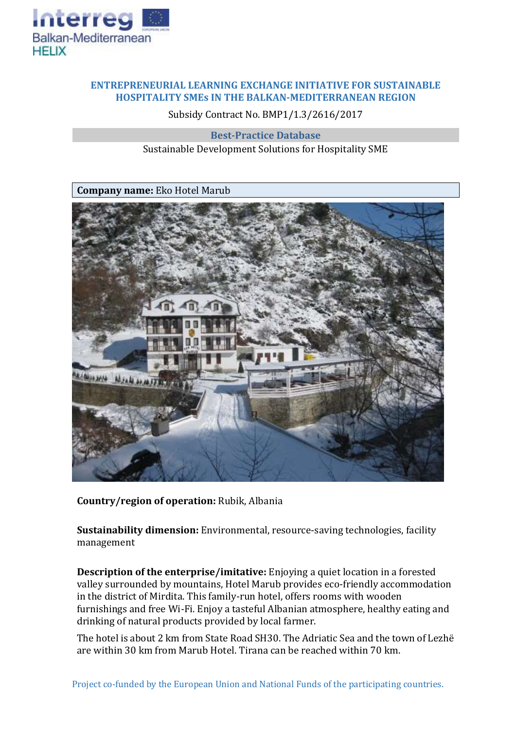

## **ENTREPRENEURIAL LEARNING EXCHANGE INITIATIVE FOR SUSTAINABLE HOSPITALITY SMEs IN THE BALKAN-MEDITERRANEAN REGION**

Subsidy Contract No. BMP1/1.3/2616/2017

**Best-Practice Database** Sustainable Development Solutions for Hospitality SME



**Country/region of operation:** Rubik, Albania

**Sustainability dimension:** Environmental, resource-saving technologies, facility management

**Description of the enterprise/imitative:** Enjoying a quiet location in a forested valley surrounded by mountains, Hotel Marub provides eco-friendly accommodation in the district of Mirdita. This family-run hotel, offers rooms with wooden furnishings and free Wi-Fi. Enjoy a tasteful Albanian atmosphere, healthy eating and drinking of natural products provided by local farmer.

The hotel is about 2 km from State Road SH30. The Adriatic Sea and the town of Lezhë are within 30 km from Marub Hotel. Tirana can be reached within 70 km.

Project co-funded by the European Union and National Funds of the participating countries.